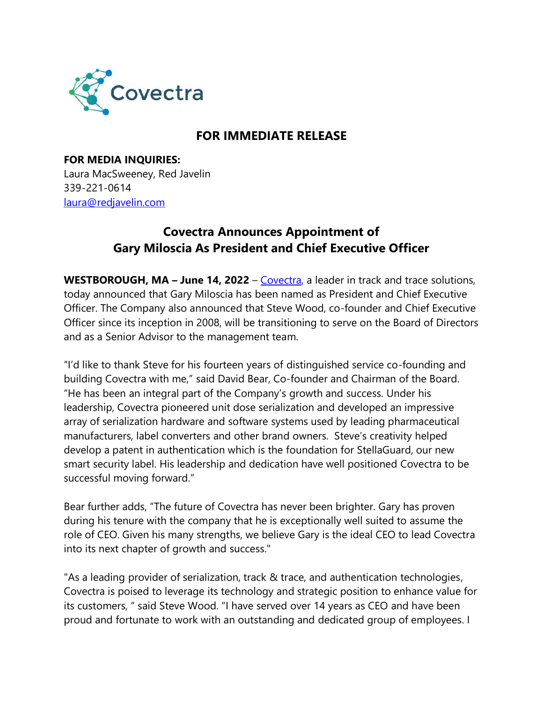

## **FOR IMMEDIATE RELEASE**

**FOR MEDIA INQUIRIES:**  Laura MacSweeney, Red Javelin [339-221-0614](about:blank) [laura@redjavelin.com](about:blank)

## **Covectra Announces Appointment of Gary Miloscia As President and Chief Executive Officer**

**WESTBOROUGH, MA – June 14, 2022** – [Covectra,](about:blank) a leader in track and trace solutions, today announced that Gary Miloscia has been named as President and Chief Executive Officer. The Company also announced that Steve Wood, co-founder and Chief Executive Officer since its inception in 2008, will be transitioning to serve on the Board of Directors and as a Senior Advisor to the management team.

"I'd like to thank Steve for his fourteen years of distinguished service co-founding and building Covectra with me," said David Bear, Co-founder and Chairman of the Board. "He has been an integral part of the Company's growth and success. Under his leadership, Covectra pioneered unit dose serialization and developed an impressive array of serialization hardware and software systems used by leading pharmaceutical manufacturers, label converters and other brand owners. Steve's creativity helped develop a patent in authentication which is the foundation for StellaGuard, our new smart security label. His leadership and dedication have well positioned Covectra to be successful moving forward."

Bear further adds, "The future of Covectra has never been brighter. Gary has proven during his tenure with the company that he is exceptionally well suited to assume the role of CEO. Given his many strengths, we believe Gary is the ideal CEO to lead Covectra into its next chapter of growth and success."

"As a leading provider of serialization, track & trace, and authentication technologies, Covectra is poised to leverage its technology and strategic position to enhance value for its customers, " said Steve Wood. "I have served over 14 years as CEO and have been proud and fortunate to work with an outstanding and dedicated group of employees. I